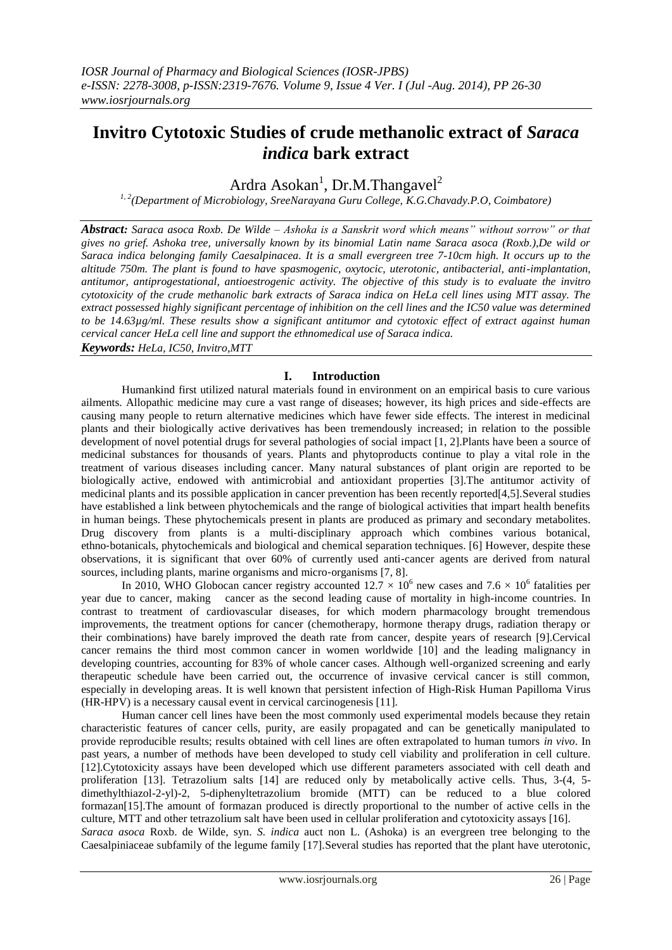# **Invitro Cytotoxic Studies of crude methanolic extract of** *Saraca indica* **bark extract**

## Ardra Asokan<sup>1</sup>, Dr.M.Thangavel<sup>2</sup>

*1, 2(Department of Microbiology, SreeNarayana Guru College, K.G.Chavady.P.O, Coimbatore)*

*Abstract: Saraca asoca Roxb. De Wilde – Ashoka is a Sanskrit word which means" without sorrow" or that gives no grief. Ashoka tree, universally known by its binomial Latin name Saraca asoca (Roxb.),De wild or Saraca indica belonging family Caesalpinacea. It is a small evergreen tree 7-10cm high. It occurs up to the altitude 750m. The plant is found to have spasmogenic, oxytocic, uterotonic, antibacterial, anti-implantation, antitumor, antiprogestational, antioestrogenic activity. The objective of this study is to evaluate the invitro cytotoxicity of the crude methanolic bark extracts of Saraca indica on HeLa cell lines using MTT assay. The extract possessed highly significant percentage of inhibition on the cell lines and the IC50 value was determined to be 14.63µg/ml. These results show a significant antitumor and cytotoxic effect of extract against human cervical cancer HeLa cell line and support the ethnomedical use of Saraca indica.*

*Keywords: HeLa, IC50, Invitro,MTT*

## **I. Introduction**

Humankind first utilized natural materials found in environment on an empirical basis to cure various ailments. Allopathic medicine may cure a vast range of diseases; however, its high prices and side-effects are causing many people to return alternative medicines which have fewer side effects. The interest in medicinal plants and their biologically active derivatives has been tremendously increased; in relation to the possible development of novel potential drugs for several pathologies of social impact [1, 2].Plants have been a source of medicinal substances for thousands of years. Plants and phytoproducts continue to play a vital role in the treatment of various diseases including cancer. Many natural substances of plant origin are reported to be biologically active, endowed with antimicrobial and antioxidant properties [3].The antitumor activity of medicinal plants and its possible application in cancer prevention has been recently reported[4,5].Several studies have established a link between phytochemicals and the range of biological activities that impart health benefits in human beings. These phytochemicals present in plants are produced as primary and secondary metabolites. Drug discovery from plants is a multi-disciplinary approach which combines various botanical, ethno-botanicals, phytochemicals and biological and chemical separation techniques. [6] However, despite these observations, it is significant that over 60% of currently used anti‐cancer agents are derived from natural sources, including plants, marine organisms and micro-organisms [7, 8].

In 2010, WHO Globocan cancer registry accounted  $12.7 \times 10^6$  new cases and  $7.6 \times 10^6$  fatalities per year due to cancer, making cancer as the second leading cause of mortality in high-income countries. In contrast to treatment of cardiovascular diseases, for which modern pharmacology brought tremendous improvements, the treatment options for cancer (chemotherapy, hormone therapy drugs, radiation therapy or their combinations) have barely improved the death rate from cancer, despite years of research [9].Cervical cancer remains the third most common cancer in women worldwide [10] and the leading malignancy in developing countries, accounting for 83% of whole cancer cases. Although well-organized screening and early therapeutic schedule have been carried out, the occurrence of invasive cervical cancer is still common, especially in developing areas. It is well known that persistent infection of High-Risk Human Papilloma Virus (HR-HPV) is a necessary causal event in cervical carcinogenesis [11].

Human cancer cell lines have been the most commonly used experimental models because they retain characteristic features of cancer cells, purity, are easily propagated and can be genetically manipulated to provide reproducible results; results obtained with cell lines are often extrapolated to human tumors *in vivo*. In past years, a number of methods have been developed to study cell viability and proliferation in cell culture. [12].Cytotoxicity assays have been developed which use different parameters associated with cell death and proliferation [13]. Tetrazolium salts [14] are reduced only by metabolically active cells. Thus, 3-(4, 5 dimethylthiazol-2-yl)-2, 5-diphenyltetrazolium bromide (MTT) can be reduced to a blue colored formazan[15].The amount of formazan produced is directly proportional to the number of active cells in the culture, MTT and other tetrazolium salt have been used in cellular proliferation and cytotoxicity assays [16]. *Saraca asoca* Roxb. de Wilde, syn. *S. indica* auct non L. (Ashoka) is an evergreen tree belonging to the Caesalpiniaceae subfamily of the legume family [17].Several studies has reported that the plant have uterotonic,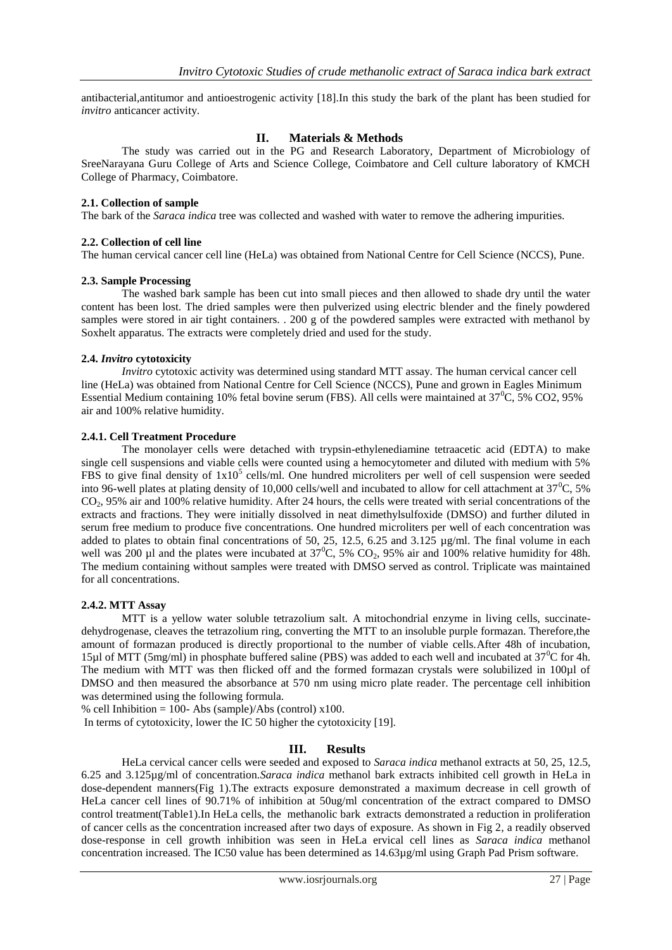antibacterial,antitumor and antioestrogenic activity [18].In this study the bark of the plant has been studied for *invitro* anticancer activity.

## **II. Materials & Methods**

The study was carried out in the PG and Research Laboratory, Department of Microbiology of SreeNarayana Guru College of Arts and Science College, Coimbatore and Cell culture laboratory of KMCH College of Pharmacy, Coimbatore.

### **2.1. Collection of sample**

The bark of the *Saraca indica* tree was collected and washed with water to remove the adhering impurities.

#### **2.2. Collection of cell line**

The human cervical cancer cell line (HeLa) was obtained from National Centre for Cell Science (NCCS), Pune.

#### **2.3. Sample Processing**

The washed bark sample has been cut into small pieces and then allowed to shade dry until the water content has been lost. The dried samples were then pulverized using electric blender and the finely powdered samples were stored in air tight containers. . 200 g of the powdered samples were extracted with methanol by Soxhelt apparatus. The extracts were completely dried and used for the study.

#### **2.4.** *Invitro* **cytotoxicity**

*Invitro* cytotoxic activity was determined using standard MTT assay. The human cervical cancer cell line (HeLa) was obtained from National Centre for Cell Science (NCCS), Pune and grown in Eagles Minimum Essential Medium containing 10% fetal bovine serum (FBS). All cells were maintained at 37<sup>°</sup>C, 5% CO2, 95% air and 100% relative humidity.

#### **2.4.1. Cell Treatment Procedure**

The monolayer cells were detached with trypsin-ethylenediamine tetraacetic acid (EDTA) to make single cell suspensions and viable cells were counted using a hemocytometer and diluted with medium with 5% FBS to give final density of  $1x10^5$  cells/ml. One hundred microliters per well of cell suspension were seeded into 96-well plates at plating density of 10,000 cells/well and incubated to allow for cell attachment at  $37^{\circ}$ C,  $5\%$ CO2, 95% air and 100% relative humidity. After 24 hours, the cells were treated with serial concentrations of the extracts and fractions. They were initially dissolved in neat dimethylsulfoxide (DMSO) and further diluted in serum free medium to produce five concentrations. One hundred microliters per well of each concentration was added to plates to obtain final concentrations of 50, 25, 12.5, 6.25 and 3.125 µg/ml. The final volume in each well was 200 µl and the plates were incubated at  $37^{\circ}$ C,  $5\%$  CO<sub>2</sub>, 95% air and 100% relative humidity for 48h. The medium containing without samples were treated with DMSO served as control. Triplicate was maintained for all concentrations.

#### **2.4.2. MTT Assay**

MTT is a yellow water soluble tetrazolium salt. A mitochondrial enzyme in living cells, succinatedehydrogenase, cleaves the tetrazolium ring, converting the MTT to an insoluble purple formazan. Therefore,the amount of formazan produced is directly proportional to the number of viable cells.After 48h of incubation, 15µl of MTT (5mg/ml) in phosphate buffered saline (PBS) was added to each well and incubated at 37<sup>0</sup>C for 4h. The medium with MTT was then flicked off and the formed formazan crystals were solubilized in 100µl of DMSO and then measured the absorbance at 570 nm using micro plate reader. The percentage cell inhibition was determined using the following formula.

% cell Inhibition = 100- Abs (sample)/Abs (control)  $x100$ .

In terms of cytotoxicity, lower the IC 50 higher the cytotoxicity [19].

#### **III. Results**

HeLa cervical cancer cells were seeded and exposed to *Saraca indica* methanol extracts at 50, 25, 12.5, 6.25 and 3.125µg/ml of concentration.*Saraca indica* methanol bark extracts inhibited cell growth in HeLa in dose-dependent manners(Fig 1).The extracts exposure demonstrated a maximum decrease in cell growth of HeLa cancer cell lines of 90.71% of inhibition at 50ug/ml concentration of the extract compared to DMSO control treatment(Table1).In HeLa cells, the methanolic bark extracts demonstrated a reduction in proliferation of cancer cells as the concentration increased after two days of exposure. As shown in Fig 2, a readily observed dose-response in cell growth inhibition was seen in HeLa ervical cell lines as *Saraca indica* methanol concentration increased. The IC50 value has been determined as 14.63µg/ml using Graph Pad Prism software.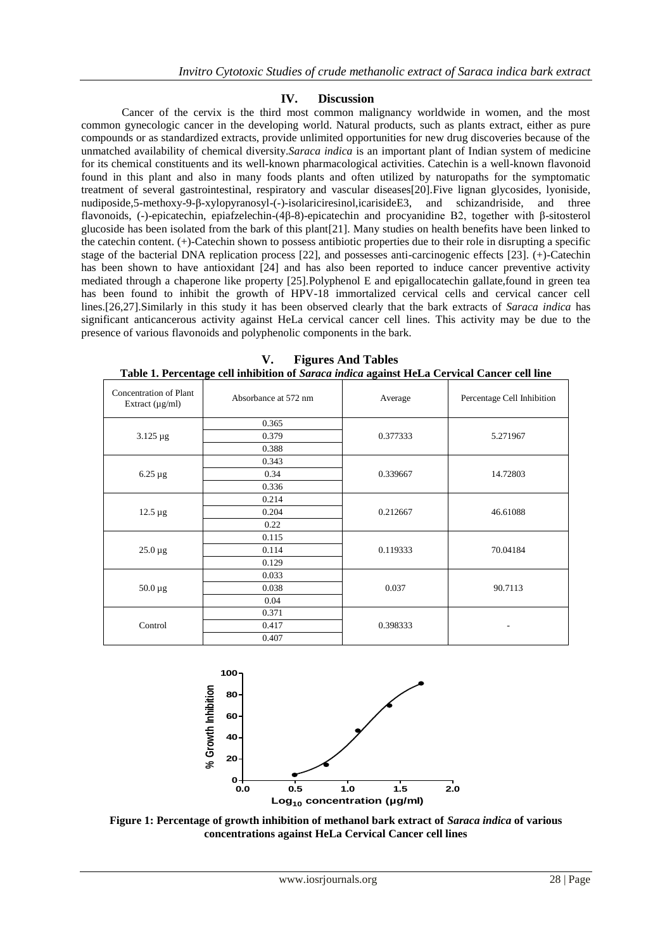## **IV. Discussion**

Cancer of the cervix is the third most common malignancy worldwide in women, and the most common gynecologic cancer in the developing world. Natural products, such as plants extract, either as pure compounds or as standardized extracts, provide unlimited opportunities for new drug discoveries because of the unmatched availability of chemical diversity.*Saraca indica* is an important plant of Indian system of medicine for its chemical constituents and its well-known pharmacological activities. Catechin is a well-known flavonoid found in this plant and also in many foods plants and often utilized by naturopaths for the symptomatic treatment of several gastrointestinal, respiratory and vascular diseases[20].Five lignan glycosides, lyoniside, nudiposide,5-methoxy-9-β-xylopyranosyl-(-)-isolariciresinol,icarisideE3, and schizandriside, and three flavonoids, (-)-epicatechin, epiafzelechin-(4β-8)-epicatechin and procyanidine B2, together with β-sitosterol glucoside has been isolated from the bark of this plant[21]. Many studies on health benefits have been linked to the catechin content. (+)-Catechin shown to possess antibiotic properties due to their role in disrupting a specific stage of the bacterial DNA replication process [22], and possesses anti-carcinogenic effects [23]. (+)-Catechin has been shown to have antioxidant [24] and has also been reported to induce cancer preventive activity mediated through a chaperone like property [25].Polyphenol E and epigallocatechin gallate,found in green tea has been found to inhibit the growth of HPV-18 immortalized cervical cells and cervical cancer cell lines.[26,27].Similarly in this study it has been observed clearly that the bark extracts of *Saraca indica* has significant anticancerous activity against HeLa cervical cancer cell lines. This activity may be due to the presence of various flavonoids and polyphenolic components in the bark.

| Concentration of Plant<br>Extract $(\mu g/ml)$ | Absorbance at 572 nm | Average  | Percentage Cell Inhibition |
|------------------------------------------------|----------------------|----------|----------------------------|
| $3.125 \,\mu g$                                | 0.365                | 0.377333 | 5.271967                   |
|                                                | 0.379                |          |                            |
|                                                | 0.388                |          |                            |
| $6.25 \mu$ g                                   | 0.343                | 0.339667 | 14.72803                   |
|                                                | 0.34                 |          |                            |
|                                                | 0.336                |          |                            |
| $12.5 \mu g$                                   | 0.214                | 0.212667 | 46.61088                   |
|                                                | 0.204                |          |                            |
|                                                | 0.22                 |          |                            |
| $25.0 \mu g$                                   | 0.115                | 0.119333 | 70.04184                   |
|                                                | 0.114                |          |                            |
|                                                | 0.129                |          |                            |
| $50.0 \mu g$                                   | 0.033                | 0.037    | 90.7113                    |
|                                                | 0.038                |          |                            |
|                                                | 0.04                 |          |                            |
| Control                                        | 0.371                | 0.398333 |                            |
|                                                | 0.417                |          |                            |
|                                                | 0.407                |          |                            |

**V. Figures And Tables Table 1. Percentage cell inhibition of** *Saraca indica* **against HeLa Cervical Cancer cell line**



**Figure 1: Percentage of growth inhibition of methanol bark extract of** *Saraca indica* **of various concentrations against HeLa Cervical Cancer cell lines**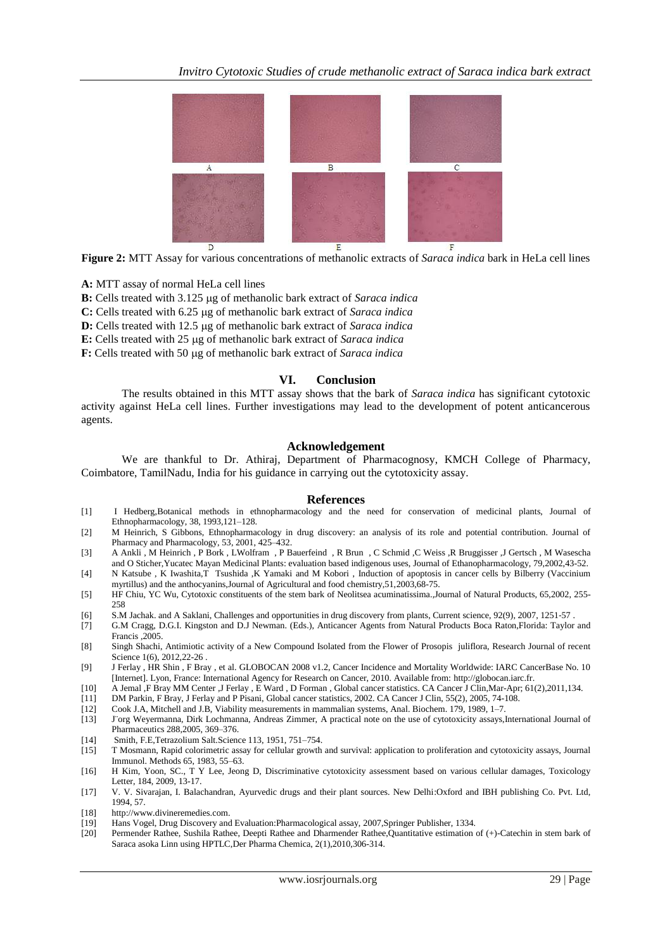

**Figure 2:** MTT Assay for various concentrations of methanolic extracts of *Saraca indica* bark in HeLa cell lines

**A:** MTT assay of normal HeLa cell lines

**B:** Cells treated with 3.125 µg of methanolic bark extract of *Saraca indica* 

**C:** Cells treated with 6.25 µg of methanolic bark extract of *Saraca indica* 

**D:** Cells treated with 12.5 µg of methanolic bark extract of *Saraca indica* 

E: Cells treated with 25 µg of methanolic bark extract of *Saraca indica* 

**F:** Cells treated with 50 µg of methanolic bark extract of *Saraca indica* 

#### **VI. Conclusion**

The results obtained in this MTT assay shows that the bark of *Saraca indica* has significant cytotoxic activity against HeLa cell lines. Further investigations may lead to the development of potent anticancerous agents.

#### **Acknowledgement**

We are thankful to Dr. Athiraj, Department of Pharmacognosy, KMCH College of Pharmacy, Coimbatore, TamilNadu, India for his guidance in carrying out the cytotoxicity assay.

#### **References**

- [1] I Hedberg,Botanical methods in ethnopharmacology and the need for conservation of medicinal plants, Journal of Ethnopharmacology, 38, 1993,121–128.
- [2] M Heinrich, S Gibbons, Ethnopharmacology in drug discovery: an analysis of its role and potential contribution. Journal of Pharmacy and Pharmacology, 53, 2001, 425–432.
- [3] A Ankli , M Heinrich , P Bork , LWolfram , P Bauerfeind , R Brun , C Schmid ,C Weiss ,R Bruggisser ,J Gertsch , M Wasescha and O Sticher,Yucatec Mayan Medicinal Plants: evaluation based indigenous uses, Journal of Ethanopharmacology, 79,2002,43-52.
- [4] N Katsube , K Iwashita,T Tsushida ,K Yamaki and M Kobori , Induction of apoptosis in cancer cells by Bilberry (Vaccinium myrtillus) and the anthocyanins,Journal of Agricultural and food chemistry,51,2003,68-75.
- [5] HF Chiu, YC Wu, Cytotoxic constituents of the stem bark of Neolitsea acuminatissima.,Journal of Natural Products, 65,2002, 255- 258
- [6] S.M Jachak. and A Saklani, Challenges and opportunities in drug discovery from plants, Current science, 92(9), 2007, 1251‐57 .
- [7] G.M Cragg, D.G.I. Kingston and D.J Newman. (Eds.), Anticancer Agents from Natural Products Boca Raton,Florida: Taylor and Francis ,2005.
- [8] Singh Shachi, Antimiotic activity of a New Compound Isolated from the Flower of Prosopis juliflora, Research Journal of recent Science 1(6), 2012, 22-26.
- [9] J Ferlay , HR Shin , F Bray , et al. GLOBOCAN 2008 v1.2, Cancer Incidence and Mortality Worldwide: IARC CancerBase No. 10 [Internet]. Lyon, France: International Agency for Research on Cancer, 2010. Available from: [http://globocan.iarc.fr.](http://globocan.iarc.fr/)
- [10] A Jemal ,F Bray M[M Center ,](http://www.ncbi.nlm.nih.gov/pubmed?term=Center%20MM%5BAuthor%5D&cauthor=true&cauthor_uid=21296855)J [Ferlay ,](http://www.ncbi.nlm.nih.gov/pubmed?term=Ferlay%20J%5BAuthor%5D&cauthor=true&cauthor_uid=21296855) [E Ward ,](http://www.ncbi.nlm.nih.gov/pubmed?term=Ward%20E%5BAuthor%5D&cauthor=true&cauthor_uid=21296855) [D Forman ,](http://www.ncbi.nlm.nih.gov/pubmed?term=Forman%20D%5BAuthor%5D&cauthor=true&cauthor_uid=21296855) Global cancer statistics. CA Cancer J Clin,Mar-Apr; 61(2),2011,134.
- [11] DM Parkin, F Bray, J Ferlay and P Pisani, Global cancer statistics, 2002. CA Cancer J Clin, 55(2), 2005, 74-108.
- [12] Cook J.A, Mitchell and J.B, Viability measurements in mammalian systems, Anal. Biochem. 179, 1989, 1–7.
- J¨org Weyermanna, Dirk Lochmanna, Andreas Zimmer, A practical note on the use of cytotoxicity assays,International Journal of Pharmaceutics 288,2005, 369–376.
- [14] Smith, F.E,Tetrazolium Salt.Science 113, 1951, 751–754.
- [15] T Mosmann, Rapid colorimetric assay for cellular growth and survival: application to proliferation and cytotoxicity assays, Journal Immunol. Methods 65, 1983, 55–63.
- [16] H Kim, Yoon, SC., T Y Lee, Jeong D, Discriminative cytotoxicity assessment based on various cellular damages, Toxicology Letter, 184, 2009, 13-17.
- [17] V. V. Sivarajan, I. Balachandran, Ayurvedic drugs and their plant sources. New Delhi:Oxford and IBH publishing Co. Pvt. Ltd, 1994, 57.
- [18] [http://www.divineremedies.com.](http://www.divineremedies.com/)
- [19] Hans Vogel, Drug Discovery and Evaluation:Pharmacological assay, 2007,Springer Publisher, 1334.
- [20] Permender Rathee, Sushila Rathee, Deepti Rathee and Dharmender Rathee,Quantitative estimation of (+)-Catechin in stem bark of Saraca asoka Linn using HPTLC,Der Pharma Chemica, 2(1),2010,306-314.